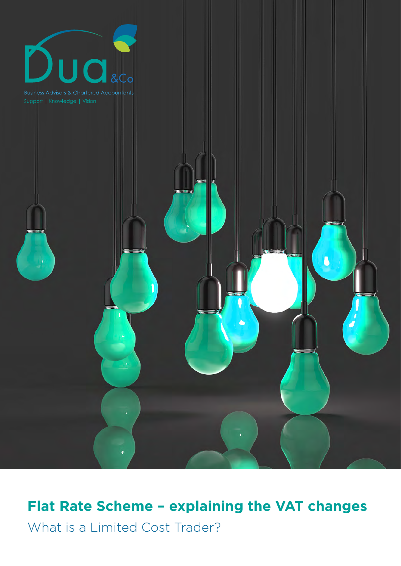

**Flat Rate Scheme – explaining the VAT changes**

 $\bullet$ 

What is a Limited Cost Trader?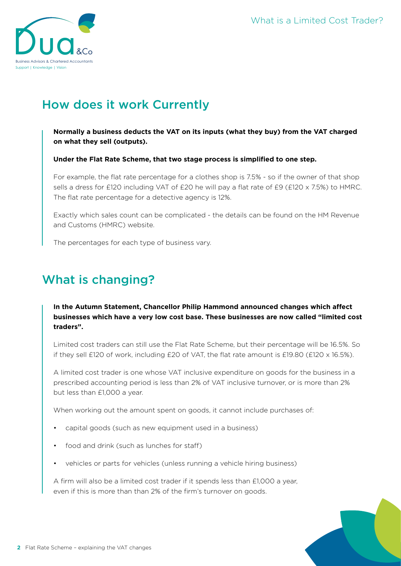

# How does it work Currently

**Normally a business deducts the VAT on its inputs (what they buy) from the VAT charged on what they sell (outputs).**

**Under the Flat Rate Scheme, that two stage process is simplified to one step.**

For example, the flat rate percentage for a clothes shop is 7.5% - so if the owner of that shop sells a dress for £120 including VAT of £20 he will pay a flat rate of £9 (£120 x 7.5%) to HMRC. The flat rate percentage for a detective agency is 12%.

Exactly which sales count can be complicated - the details can be found on the HM Revenue and Customs (HMRC) website.

The percentages for each type of business vary.

# What is changing?

**In the Autumn Statement, Chancellor Philip Hammond announced changes which affect businesses which have a very low cost base. These businesses are now called "limited cost traders".**

Limited cost traders can still use the Flat Rate Scheme, but their percentage will be 16.5%. So if they sell £120 of work, including £20 of VAT, the flat rate amount is £19.80 (£120 x 16.5%).

A limited cost trader is one whose VAT inclusive expenditure on goods for the business in a prescribed accounting period is less than 2% of VAT inclusive turnover, or is more than 2% but less than £1,000 a year.

When working out the amount spent on goods, it cannot include purchases of:

- capital goods (such as new equipment used in a business)
- food and drink (such as lunches for staff)
- vehicles or parts for vehicles (unless running a vehicle hiring business)

A firm will also be a limited cost trader if it spends less than £1,000 a year, even if this is more than than 2% of the firm's turnover on goods.

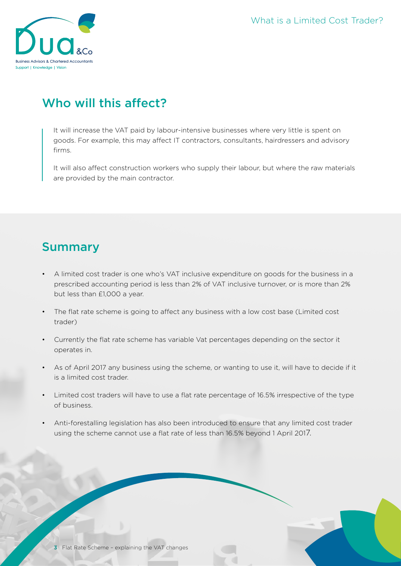

## Who will this affect?

It will increase the VAT paid by labour-intensive businesses where very little is spent on goods. For example, this may affect IT contractors, consultants, hairdressers and advisory firms.

It will also affect construction workers who supply their labour, but where the raw materials are provided by the main contractor.

### Summary

- A limited cost trader is one who's VAT inclusive expenditure on goods for the business in a prescribed accounting period is less than 2% of VAT inclusive turnover, or is more than 2% but less than £1,000 a year.
- The flat rate scheme is going to affect any business with a low cost base (Limited cost trader)
- Currently the flat rate scheme has variable Vat percentages depending on the sector it operates in.
- As of April 2017 any business using the scheme, or wanting to use it, will have to decide if it is a limited cost trader.
- Limited cost traders will have to use a flat rate percentage of 16.5% irrespective of the type of business.
- Anti-forestalling legislation has also been introduced to ensure that any limited cost trader using the scheme cannot use a flat rate of less than 16.5% beyond 1 April 2017.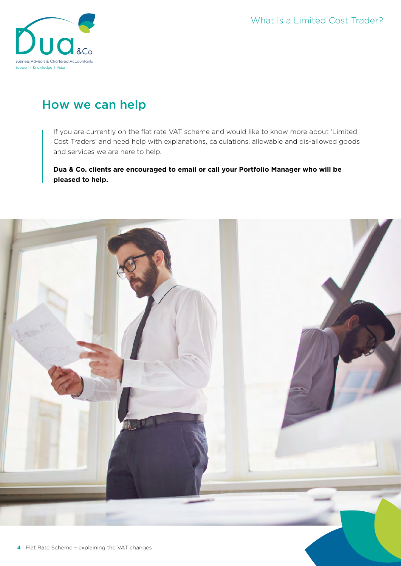![](_page_3_Picture_1.jpeg)

## How we can help

If you are currently on the flat rate VAT scheme and would like to know more about 'Limited Cost Traders' and need help with explanations, calculations, allowable and dis-allowed goods and services we are here to help.

**Dua & Co. clients are encouraged to email or call your Portfolio Manager who will be pleased to help.** 

![](_page_3_Picture_5.jpeg)